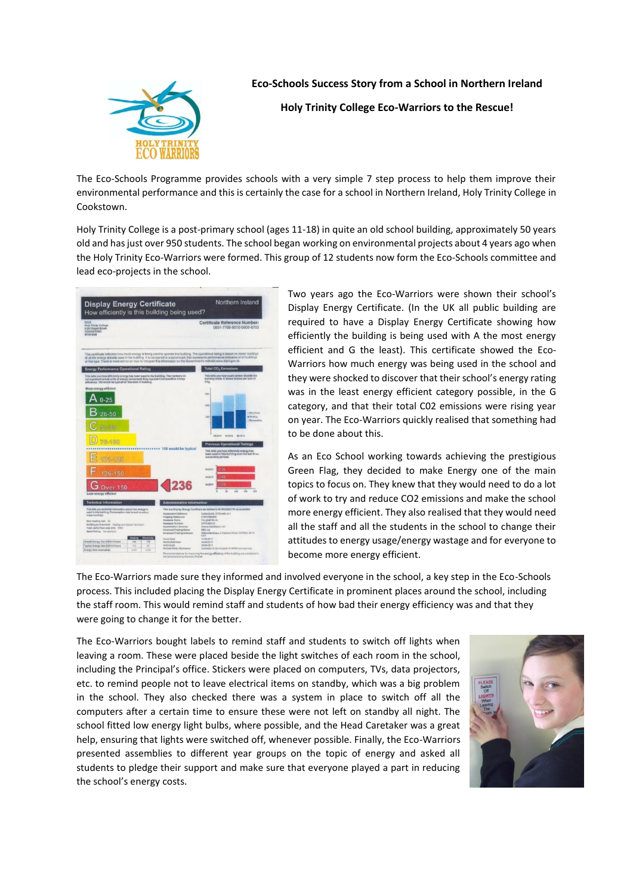

**Eco-Schools Success Story from a School in Northern Ireland**

**Holy Trinity College Eco-Warriors to the Rescue!**

The Eco-Schools Programme provides schools with a very simple 7 step process to help them improve their environmental performance and this is certainly the case for a school in Northern Ireland, Holy Trinity College in Cookstown.

Holy Trinity College is a post-primary school (ages 11-18) in quite an old school building, approximately 50 years old and has just over 950 students. The school began working on environmental projects about 4 years ago when the Holy Trinity Eco-Warriors were formed. This group of 12 students now form the Eco-Schools committee and lead eco-projects in the school.

| Northern Ireland<br><b>Display Energy Certificate</b><br>How efficiently is this building being used?                                                                                                                                  |           |                       |                                                     |                                                                                                                                                                                                                                                                                                                                                                                                         |
|----------------------------------------------------------------------------------------------------------------------------------------------------------------------------------------------------------------------------------------|-----------|-----------------------|-----------------------------------------------------|---------------------------------------------------------------------------------------------------------------------------------------------------------------------------------------------------------------------------------------------------------------------------------------------------------------------------------------------------------------------------------------------------------|
| SELB<br><b>Holy Trinity College</b><br>9-29 Chapel Street<br>COOKSTOWN<br><b>BT80 8QB</b>                                                                                                                                              |           |                       |                                                     | Certificate Reference Number:<br>0691-7766-9010-0800-6703                                                                                                                                                                                                                                                                                                                                               |
|                                                                                                                                                                                                                                        |           |                       |                                                     | This certificate indicates how much energy is being used to operate this building. The operational rating is based on meter readings<br>of all the energy actually used in the building. It is companed to a benchmark that represents performance indicative of all trulkfings<br>of this type. There is more advice on how to interpret this information on the Government's website www.dfpni.gov.uk |
| <b>Energy Performance Operational Rating</b>                                                                                                                                                                                           |           |                       |                                                     | <b>Total CO<sub>2</sub></b> Emissions                                                                                                                                                                                                                                                                                                                                                                   |
| This tells you how efficiently energy has been used in the building. The numbers do<br>not represent actual units of energy consumed; they represent comparative energy<br>efficiency. 100 would be typical for this kind of building. |           |                       |                                                     | This tells you how much carbon dioxide the<br>building emits. It ahows tonnes per year of<br>CO <sub>2</sub>                                                                                                                                                                                                                                                                                            |
| More energy efficient                                                                                                                                                                                                                  |           |                       |                                                     |                                                                                                                                                                                                                                                                                                                                                                                                         |
|                                                                                                                                                                                                                                        |           |                       |                                                     | 309                                                                                                                                                                                                                                                                                                                                                                                                     |
| $0 - 25$                                                                                                                                                                                                                               |           |                       |                                                     |                                                                                                                                                                                                                                                                                                                                                                                                         |
|                                                                                                                                                                                                                                        |           |                       |                                                     | 216                                                                                                                                                                                                                                                                                                                                                                                                     |
| $26 - 50$                                                                                                                                                                                                                              |           |                       |                                                     | - Electricity<br><b>ATtention</b>                                                                                                                                                                                                                                                                                                                                                                       |
|                                                                                                                                                                                                                                        |           |                       |                                                     | $183 -$<br><b>Ronavalties</b>                                                                                                                                                                                                                                                                                                                                                                           |
|                                                                                                                                                                                                                                        |           |                       |                                                     |                                                                                                                                                                                                                                                                                                                                                                                                         |
|                                                                                                                                                                                                                                        |           |                       |                                                     | 89-2012 86-0113<br>08-2011                                                                                                                                                                                                                                                                                                                                                                              |
| B-100                                                                                                                                                                                                                                  |           |                       |                                                     |                                                                                                                                                                                                                                                                                                                                                                                                         |
|                                                                                                                                                                                                                                        |           |                       |                                                     | <b>Previous Operational Ratings</b>                                                                                                                                                                                                                                                                                                                                                                     |
|                                                                                                                                                                                                                                        |           | ********************* | 100 would be typical                                | This tells you have efficiently energy has<br>been used in this building over the last three                                                                                                                                                                                                                                                                                                            |
| 101-125                                                                                                                                                                                                                                |           |                       |                                                     | accounting periods.                                                                                                                                                                                                                                                                                                                                                                                     |
|                                                                                                                                                                                                                                        |           |                       |                                                     |                                                                                                                                                                                                                                                                                                                                                                                                         |
| 126-150                                                                                                                                                                                                                                |           |                       |                                                     | 2/16<br>05/2313                                                                                                                                                                                                                                                                                                                                                                                         |
|                                                                                                                                                                                                                                        |           |                       |                                                     | 248<br>06,2312                                                                                                                                                                                                                                                                                                                                                                                          |
|                                                                                                                                                                                                                                        |           |                       | 236                                                 | 1610<br>86-2911                                                                                                                                                                                                                                                                                                                                                                                         |
| <b>Over 150</b>                                                                                                                                                                                                                        |           |                       |                                                     | via<br>vice.<br>pio.                                                                                                                                                                                                                                                                                                                                                                                    |
| Less energy efficient                                                                                                                                                                                                                  |           |                       |                                                     |                                                                                                                                                                                                                                                                                                                                                                                                         |
| <b>Technical Information</b>                                                                                                                                                                                                           |           |                       | <b>Administrative Information</b>                   |                                                                                                                                                                                                                                                                                                                                                                                                         |
| This tells you technical information about how energy is                                                                                                                                                                               |           |                       |                                                     | This is a Display Energy Certificate as defined in Ni SR2008/170 as amended.                                                                                                                                                                                                                                                                                                                            |
| used in this building. Consumption clats based on actual<br>matar exictings.<br>Main heating fuel: Oil                                                                                                                                 |           |                       | <b>Assessment Saffware:</b>                         | Systemickik, CR3nskit v3.5                                                                                                                                                                                                                                                                                                                                                                              |
|                                                                                                                                                                                                                                        |           |                       | <b>Frequeny Reference:</b><br><b>Assessor Name:</b> | a sansforcados<br>Carstel Mork                                                                                                                                                                                                                                                                                                                                                                          |
| Building environment: Heating and Natural Ventilation<br>Total useful floor area (m/s 2353)                                                                                                                                            |           |                       | Assessor Number:<br>Accreditation Schome:           | STROOD1255<br><b>Drama Carification Ltd.</b>                                                                                                                                                                                                                                                                                                                                                            |
| Asset Riding: Not available                                                                                                                                                                                                            |           |                       | Employer/Trading Name:<br>Employer/Trading Address: | MEA Ltd<br>Cliftonville Circum, 2 Westland Road, ANTRAI, ST14                                                                                                                                                                                                                                                                                                                                           |
|                                                                                                                                                                                                                                        | sating    |                       | <b>Janual Date</b>                                  | ENNE<br>10-06-2013                                                                                                                                                                                                                                                                                                                                                                                      |
| Annual Energy Use (Kilih/milyear)<br>Typical Energy Use (ktVr/ml/year)                                                                                                                                                                 | 24<br>123 | 115<br>40             | Norsinated Date:<br>Valid Unit)                     | 30-00-0013<br>29-00-2014                                                                                                                                                                                                                                                                                                                                                                                |
|                                                                                                                                                                                                                                        |           |                       | <b>Related Party Disclosure:</b>                    | Contractor to the occupier for EPEO services only                                                                                                                                                                                                                                                                                                                                                       |

Two years ago the Eco-Warriors were shown their school's Display Energy Certificate. (In the UK all public building are required to have a Display Energy Certificate showing how efficiently the building is being used with A the most energy efficient and G the least). This certificate showed the Eco-Warriors how much energy was being used in the school and they were shocked to discover that their school's energy rating was in the least energy efficient category possible, in the G category, and that their total C02 emissions were rising year on year. The Eco-Warriors quickly realised that something had to be done about this.

As an Eco School working towards achieving the prestigious Green Flag, they decided to make Energy one of the main topics to focus on. They knew that they would need to do a lot of work to try and reduce CO2 emissions and make the school more energy efficient. They also realised that they would need all the staff and all the students in the school to change their attitudes to energy usage/energy wastage and for everyone to become more energy efficient.

The Eco-Warriors made sure they informed and involved everyone in the school, a key step in the Eco-Schools process. This included placing the Display Energy Certificate in prominent places around the school, including the staff room. This would remind staff and students of how bad their energy efficiency was and that they were going to change it for the better.

The Eco-Warriors bought labels to remind staff and students to switch off lights when leaving a room. These were placed beside the light switches of each room in the school, including the Principal's office. Stickers were placed on computers, TVs, data projectors, etc. to remind people not to leave electrical items on standby, which was a big problem in the school. They also checked there was a system in place to switch off all the computers after a certain time to ensure these were not left on standby all night. The school fitted low energy light bulbs, where possible, and the Head Caretaker was a great help, ensuring that lights were switched off, whenever possible. Finally, the Eco-Warriors presented assemblies to different year groups on the topic of energy and asked all students to pledge their support and make sure that everyone played a part in reducing the school's energy costs.

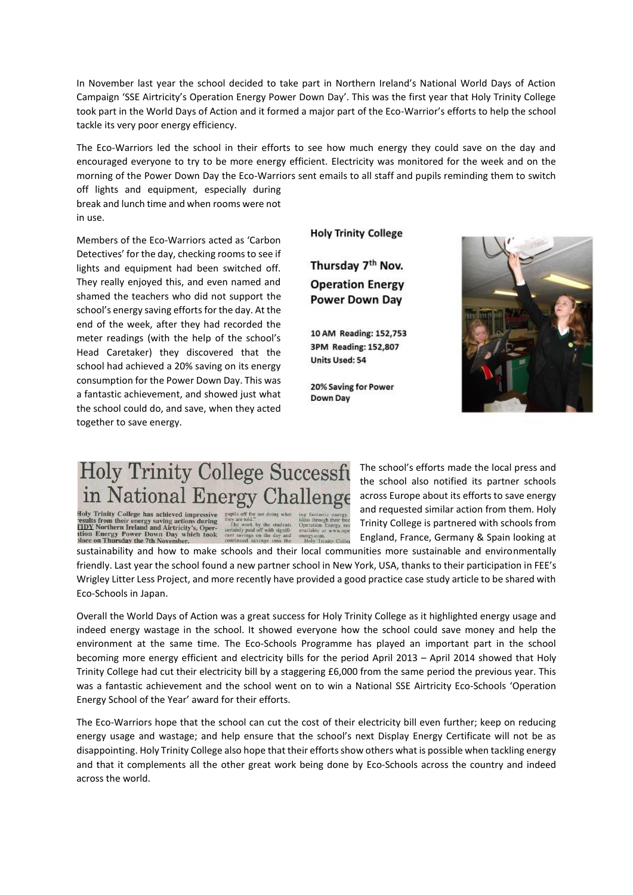In November last year the school decided to take part in Northern Ireland's National World Days of Action Campaign 'SSE Airtricity's Operation Energy Power Down Day'. This was the first year that Holy Trinity College took part in the World Days of Action and it formed a major part of the Eco-Warrior's efforts to help the school tackle its very poor energy efficiency.

The Eco-Warriors led the school in their efforts to see how much energy they could save on the day and encouraged everyone to try to be more energy efficient. Electricity was monitored for the week and on the morning of the Power Down Day the Eco-Warriors sent emails to all staff and pupils reminding them to switch

off lights and equipment, especially during break and lunch time and when rooms were not in use.

Members of the Eco-Warriors acted as 'Carbon Detectives' for the day, checking rooms to see if lights and equipment had been switched off. They really enjoyed this, and even named and shamed the teachers who did not support the school's energy saving efforts for the day. At the end of the week, after they had recorded the meter readings (with the help of the school's Head Caretaker) they discovered that the school had achieved a 20% saving on its energy consumption for the Power Down Day. This was a fantastic achievement, and showed just what the school could do, and save, when they acted together to save energy.

**Holy Trinity College** 

Thursday 7<sup>th</sup> Nov. **Operation Energy Power Down Day** 

10 AM Reading: 152,753 3PM Reading: 152,807 **Units Used: 54** 

20% Saving for Power Down Day



## **Holy Trinity College Successfi** in National Energy Challenge

Holy Trinity College has achieved impressive<br>csults from their energy saving actions during<br><u>CIDY</u> Northern Ireland and Airtricity's, Oper-<br>tion Energy Power Down Day which took<br>place on Thursday the 7th November.

The school's efforts made the local press and the school also notified its partner schools across Europe about its efforts to save energy and requested similar action from them. Holy Trinity College is partnered with schools from England, France, Germany & Spain looking at

sustainability and how to make schools and their local communities more sustainable and environmentally friendly. Last year the school found a new partner school in New York, USA, thanks to their participation in FEE's Wrigley Litter Less Project, and more recently have provided a good practice case study article to be shared with Eco-Schools in Japan.

Overall the World Days of Action was a great success for Holy Trinity College as it highlighted energy usage and indeed energy wastage in the school. It showed everyone how the school could save money and help the environment at the same time. The Eco-Schools Programme has played an important part in the school becoming more energy efficient and electricity bills for the period April 2013 – April 2014 showed that Holy Trinity College had cut their electricity bill by a staggering £6,000 from the same period the previous year. This was a fantastic achievement and the school went on to win a National SSE Airtricity Eco-Schools 'Operation Energy School of the Year' award for their efforts.

The Eco-Warriors hope that the school can cut the cost of their electricity bill even further; keep on reducing energy usage and wastage; and help ensure that the school's next Display Energy Certificate will not be as disappointing. Holy Trinity College also hope that their efforts show others what is possible when tackling energy and that it complements all the other great work being done by Eco-Schools across the country and indeed across the world.